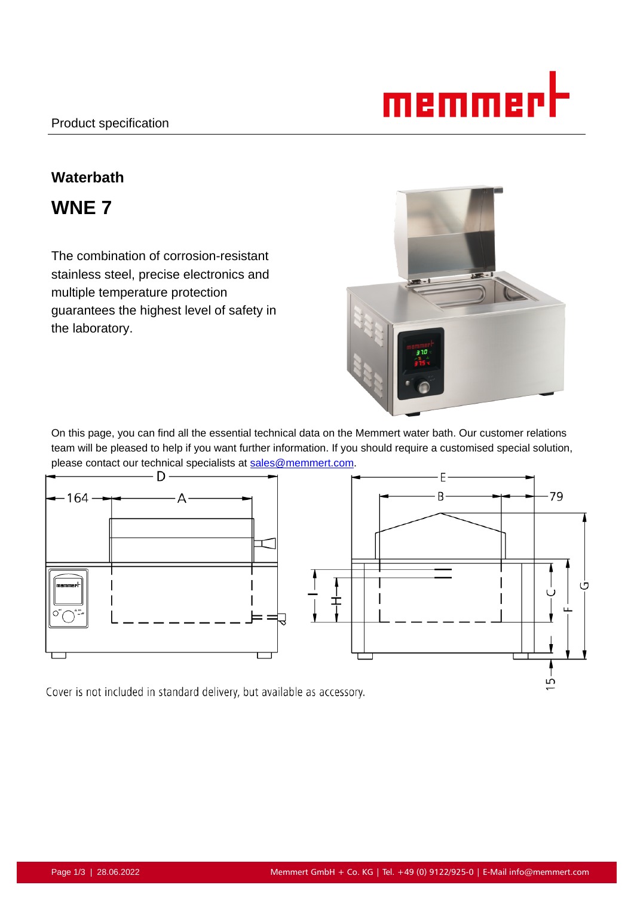# memmi

# **Waterbath**

**WNE 7**

The combination of corrosion-resistant stainless steel, precise electronics and multiple temperature protection guarantees the highest level of safety in the laboratory.



On this page, you can find all the essential technical data on the Memmert water bath. Our customer relations team will be pleased to help if you want further information. If you should require a customised special solution, please contact our technical specialists at sales@memmert.com.



Cover is not included in standard delivery, but available as accessory.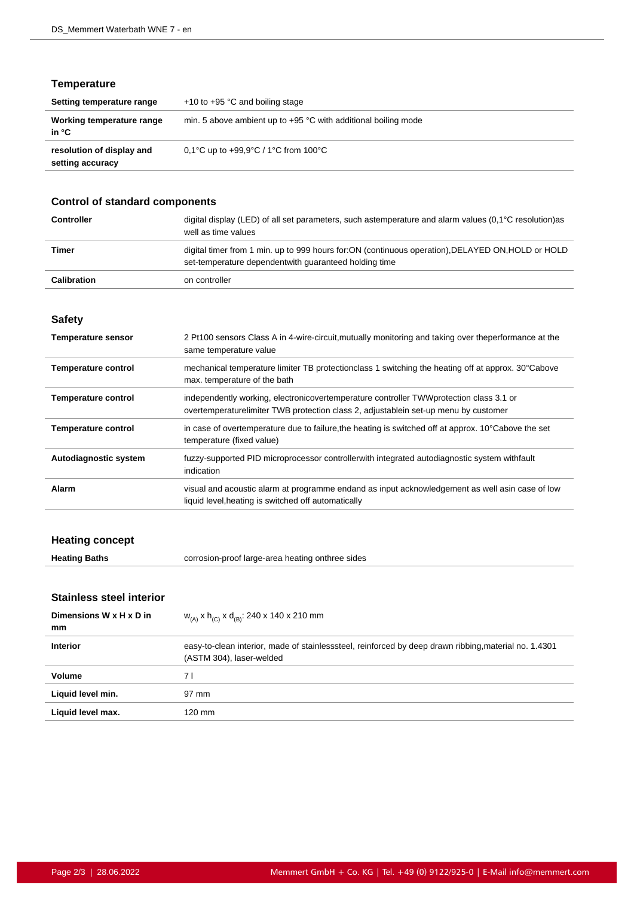# **Temperature**

| Setting temperature range                     | $+10$ to $+95$ °C and boiling stage                              |
|-----------------------------------------------|------------------------------------------------------------------|
| Working temperature range<br>in °C            | min. 5 above ambient up to $+95$ °C with additional boiling mode |
| resolution of display and<br>setting accuracy | 0.1°C up to $+99.9$ °C / 1°C from 100°C                          |

# **Control of standard components**

| <b>Controller</b>  | digital display (LED) of all set parameters, such astemperature and alarm values $(0.1^{\circ}C \text{ resolution})$ as<br>well as time values               |
|--------------------|--------------------------------------------------------------------------------------------------------------------------------------------------------------|
| Timer              | digital timer from 1 min. up to 999 hours for: ON (continuous operation), DELAYED ON, HOLD or HOLD<br>set-temperature dependent with quaranteed holding time |
| <b>Calibration</b> | on controller                                                                                                                                                |

#### **Safety**

| <b>Temperature sensor</b>  | 2 Pt100 sensors Class A in 4-wire-circuit, mutually monitoring and taking over theperformance at the<br>same temperature value                                                 |
|----------------------------|--------------------------------------------------------------------------------------------------------------------------------------------------------------------------------|
| <b>Temperature control</b> | mechanical temperature limiter TB protection class 1 switching the heating off at approx. 30°Cabove<br>max. temperature of the bath                                            |
| <b>Temperature control</b> | independently working, electronicovertemperature controller TWW protection class 3.1 or<br>overtemperaturelimiter TWB protection class 2, adjustablein set-up menu by customer |
| <b>Temperature control</b> | in case of overtemperature due to failure, the heating is switched off at approx. 10°Cabove the set<br>temperature (fixed value)                                               |
| Autodiagnostic system      | fuzzy-supported PID microprocessor controllerwith integrated autodiagnostic system withfault<br>indication                                                                     |
| Alarm                      | visual and acoustic alarm at programme endand as input acknowledgement as well asin case of low<br>liquid level, heating is switched off automatically                         |

# **Heating concept**

| <b>Heating Baths</b> | corrosion-proof large-area heating onthree sides |
|----------------------|--------------------------------------------------|
|----------------------|--------------------------------------------------|

# **Stainless steel interior**

| Dimensions W x H x D in<br>mm | $W_{(A)}$ x h <sub>(C)</sub> x d <sub>(B)</sub> : 240 x 140 x 210 mm                                                              |
|-------------------------------|-----------------------------------------------------------------------------------------------------------------------------------|
| <b>Interior</b>               | easy-to-clean interior, made of stainlesssteel, reinforced by deep drawn ribbing, material no. 1.4301<br>(ASTM 304), laser-welded |
| Volume                        | 7 I                                                                                                                               |
| Liquid level min.             | 97 mm                                                                                                                             |
| Liquid level max.             | 120 mm                                                                                                                            |